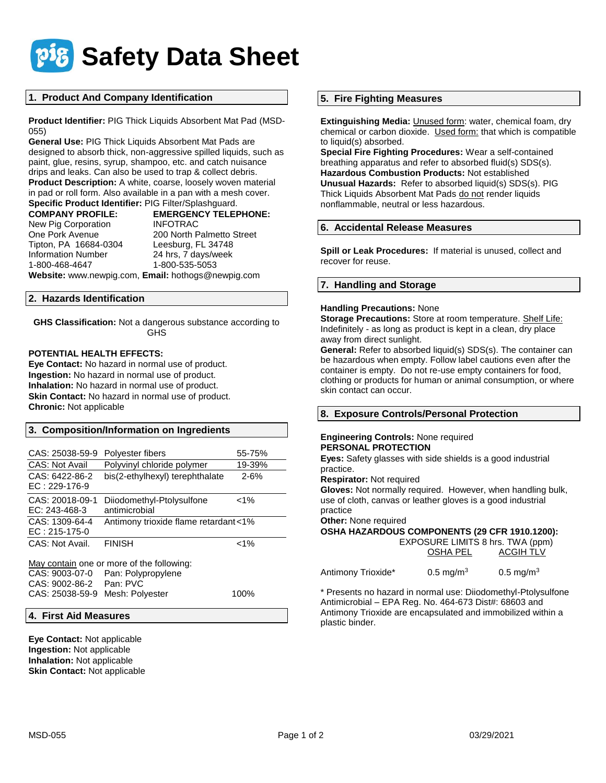

## **1. Product And Company Identification**

**Product Identifier:** PIG Thick Liquids Absorbent Mat Pad (MSD-055)

**General Use:** PIG Thick Liquids Absorbent Mat Pads are designed to absorb thick, non-aggressive spilled liquids, such as paint, glue, resins, syrup, shampoo, etc. and catch nuisance drips and leaks. Can also be used to trap & collect debris. **Product Description:** A white, coarse, loosely woven material in pad or roll form. Also available in a pan with a mesh cover. **Specific Product Identifier:** PIG Filter/Splashguard.

**COMPANY PROFILE: EMERGENCY TELEPHONE:** New Pig Corporation **INFOTRAC** One Pork Avenue 200 North Palmetto Street Tipton, PA 16684-0304 Leesburg, FL 34748 Information Number 24 hrs, 7 days/week 1-800-468-4647 1-800-535-5053

**Website:** www.newpig.com, **Email:** hothogs@newpig.com

## **2. Hazards Identification**

**GHS Classification:** Not a dangerous substance according to GHS

### **POTENTIAL HEALTH EFFECTS:**

**Eye Contact:** No hazard in normal use of product. **Ingestion:** No hazard in normal use of product. **Inhalation:** No hazard in normal use of product. **Skin Contact:** No hazard in normal use of product. **Chronic:** Not applicable

## **3. Composition/Information on Ingredients**

| CAS: 25038-59-9                   | Polyester fibers                           | 55-75%   |
|-----------------------------------|--------------------------------------------|----------|
| <b>CAS: Not Avail</b>             | Polyvinyl chloride polymer                 | 19-39%   |
| CAS: 6422-86-2<br>$EC: 229-176-9$ | bis(2-ethylhexyl) terephthalate            | $2 - 6%$ |
| CAS: 20018-09-1<br>EC: 243-468-3  | Diiodomethyl-Ptolysulfone<br>antimicrobial | $< 1\%$  |
| CAS: 1309-64-4<br>$EC: 215-175-0$ | Antimony trioxide flame retardant<1%       |          |
| CAS: Not Avail.                   | <b>FINISH</b>                              | $< 1\%$  |

May contain one or more of the following: CAS: 9003-07-0 Pan: Polypropylene<br>CAS: 9002-86-2 Pan: PVC CAS: 9002-86-2 CAS: 25038-59-9 Mesh: Polyester 100%

## **4. First Aid Measures**

**Eye Contact:** Not applicable **Ingestion:** Not applicable **Inhalation:** Not applicable **Skin Contact:** Not applicable

### **5. Fire Fighting Measures**

**Extinguishing Media:** *Unused form:* water, chemical foam, dry chemical or carbon dioxide. Used form: that which is compatible to liquid(s) absorbed.

**Special Fire Fighting Procedures:** Wear a self-contained breathing apparatus and refer to absorbed fluid(s) SDS(s). **Hazardous Combustion Products:** Not established **Unusual Hazards:** Refer to absorbed liquid(s) SDS(s). PIG Thick Liquids Absorbent Mat Pads do not render liquids nonflammable, neutral or less hazardous.

### **6. Accidental Release Measures**

**Spill or Leak Procedures:** If material is unused, collect and recover for reuse.

## **7. Handling and Storage**

### **Handling Precautions:** None

**Storage Precautions:** Store at room temperature. Shelf Life: Indefinitely - as long as product is kept in a clean, dry place away from direct sunlight.

**General:** Refer to absorbed liquid(s) SDS(s). The container can be hazardous when empty. Follow label cautions even after the container is empty. Do not re-use empty containers for food, clothing or products for human or animal consumption, or where skin contact can occur.

## **8. Exposure Controls/Personal Protection**

### **Engineering Controls:** None required **PERSONAL PROTECTION**

**Eyes:** Safety glasses with side shields is a good industrial practice.

**Respirator:** Not required

**Gloves:** Not normally required. However, when handling bulk, use of cloth, canvas or leather gloves is a good industrial practice

**Other:** None required

**OSHA HAZARDOUS COMPONENTS (29 CFR 1910.1200):**

 EXPOSURE LIMITS 8 hrs. TWA (ppm) OSHA PEL ACGIH TLV

Antimony Trioxide<sup>\*</sup> 0.5 mg/m<sup>3</sup> 0.5 mg/m<sup>3</sup>

\* Presents no hazard in normal use: Diiodomethyl-Ptolysulfone Antimicrobial – EPA Reg. No. 464-673 Dist#: 68603 and Antimony Trioxide are encapsulated and immobilized within a plastic binder.